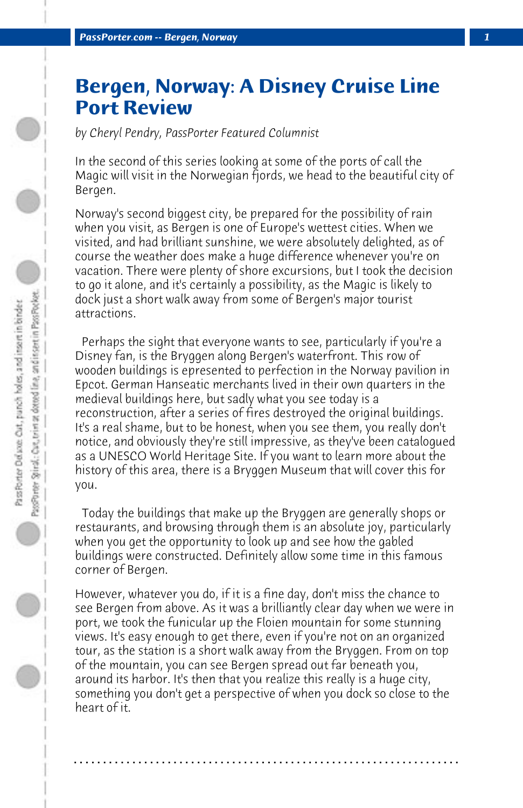## **Bergen, Norway: A Disney Cruise Line Port Review**

*by Cheryl Pendry, PassPorter Featured Columnist*

In the second of this series looking at some of the ports of call the Magic will visit in the Norwegian fjords, we head to the beautiful city of Bergen.

Norway's second biggest city, be prepared for the possibility of rain when you visit, as Bergen is one of Europe's wettest cities. When we visited, and had brilliant sunshine, we were absolutely delighted, as of course the weather does make a huge difference whenever you're on vacation. There were plenty of shore excursions, but I took the decision to go it alone, and it's certainly a possibility, as the Magic is likely to dock just a short walk away from some of Bergen's major tourist attractions.

 Perhaps the sight that everyone wants to see, particularly if you're a Disney fan, is the Bryggen along Bergen's waterfront. This row of wooden buildings is epresented to perfection in the Norway pavilion in Epcot. German Hanseatic merchants lived in their own quarters in the medieval buildings here, but sadly what you see today is a reconstruction, after a series of fires destroyed the original buildings. It's a real shame, but to be honest, when you see them, you really don't notice, and obviously they're still impressive, as they've been catalogued as a UNESCO World Heritage Site. If you want to learn more about the history of this area, there is a Bryggen Museum that will cover this for you.

 Today the buildings that make up the Bryggen are generally shops or restaurants, and browsing through them is an absolute joy, particularly when you get the opportunity to look up and see how the gabled buildings were constructed. Definitely allow some time in this famous corner of Bergen.

However, whatever you do, if it is a fine day, don't miss the chance to see Bergen from above. As it was a brilliantly clear day when we were in port, we took the funicular up the Floien mountain for some stunning views. It's easy enough to get there, even if you're not on an organized tour, as the station is a short walk away from the Bryggen. From on top of the mountain, you can see Bergen spread out far beneath you, around its harbor. It's then that you realize this really is a huge city, something you don't get a perspective of when you dock so close to the heart of it.

**. . . . . . . . . . . . . . . . . . . . . . . . . . . . . . . . . . . . . . . . . . . . . . . . . . . . . . . . . . . . . . . . . .**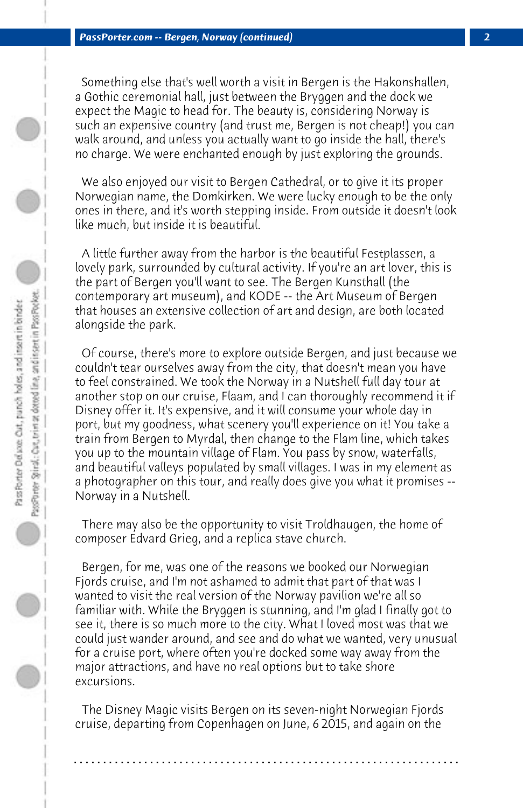Something else that's well worth a visit in Bergen is the Hakonshallen, a Gothic ceremonial hall, just between the Bryggen and the dock we expect the Magic to head for. The beauty is, considering Norway is such an expensive country (and trust me, Bergen is not cheap!) you can walk around, and unless you actually want to go inside the hall, there's no charge. We were enchanted enough by just exploring the grounds.

 We also enjoyed our visit to Bergen Cathedral, or to give it its proper Norwegian name, the Domkirken. We were lucky enough to be the only ones in there, and it's worth stepping inside. From outside it doesn't look like much, but inside it is beautiful.

 A little further away from the harbor is the beautiful Festplassen, a lovely park, surrounded by cultural activity. If you're an art lover, this is the part of Bergen you'll want to see. The Bergen Kunsthall (the contemporary art museum), and KODE -- the Art Museum of Bergen that houses an extensive collection of art and design, are both located alongside the park.

 Of course, there's more to explore outside Bergen, and just because we couldn't tear ourselves away from the city, that doesn't mean you have to feel constrained. We took the Norway in a Nutshell full day tour at another stop on our cruise, Flaam, and I can thoroughly recommend it if Disney offer it. It's expensive, and it will consume your whole day in port, but my goodness, what scenery you'll experience on it! You take a train from Bergen to Myrdal, then change to the Flam line, which takes you up to the mountain village of Flam. You pass by snow, waterfalls, and beautiful valleys populated by small villages. I was in my element as a photographer on this tour, and really does give you what it promises -- Norway in a Nutshell.

 There may also be the opportunity to visit Troldhaugen, the home of composer Edvard Grieg, and a replica stave church.

 Bergen, for me, was one of the reasons we booked our Norwegian Fjords cruise, and I'm not ashamed to admit that part of that was I wanted to visit the real version of the Norway pavilion we're all so familiar with. While the Bryggen is stunning, and I'm glad I finally got to see it, there is so much more to the city. What I loved most was that we could just wander around, and see and do what we wanted, very unusual for a cruise port, where often you're docked some way away from the major attractions, and have no real options but to take shore excursions.

 The Disney Magic visits Bergen on its seven-night Norwegian Fjords cruise, departing from Copenhagen on June, 6 2015, and again on the

**. . . . . . . . . . . . . . . . . . . . . . . . . . . . . . . . . . . . . . . . . . . . . . . . . . . . . . . . . . . . . . . . . .**